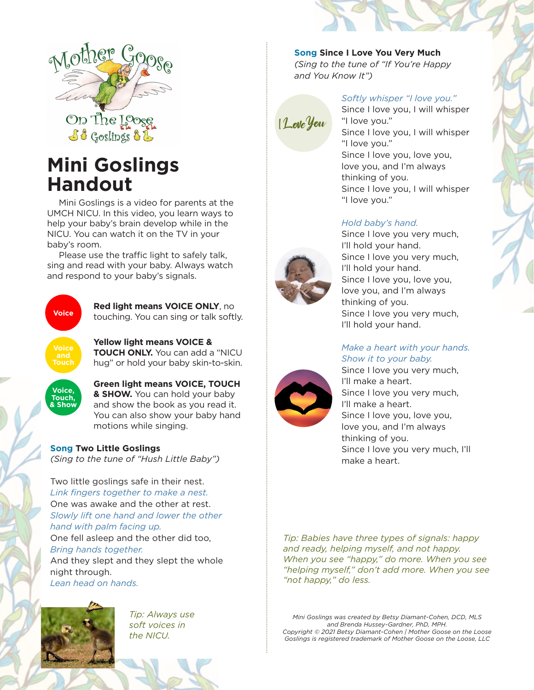

# **Mini Goslings Handout**

Mini Goslings is a video for parents at the UMCH NICU. In this video, you learn ways to help your baby's brain develop while in the NICU. You can watch it on the TV in your baby's room.

Please use the traffic light to safely talk, sing and read with your baby. Always watch and respond to your baby's signals.



# **Red light means VOICE ONLY**, no

touching. You can sing or talk softly.

**Yellow light means VOICE & TOUCH ONLY.** You can add a "NICU hug" or hold your baby skin-to-skin.



**Green light means VOICE, TOUCH & SHOW.** You can hold your baby and show the book as you read it. You can also show your baby hand motions while singing.

**Song Two Little Goslings** *(Sing to the tune of "Hush Little Baby")*

Two little goslings safe in their nest. *Link fingers together to make a nest.* One was awake and the other at rest. *Slowly lift one hand and lower the other hand with palm facing up.*

One fell asleep and the other did too, *Bring hands together.*

And they slept and they slept the whole night through. *Lean head on hands.*



*Tip: Always use soft voices in the NICU.*

**Song Since I Love You Very Much** *(Sing to the tune of "If You're Happy* 

*and You Know It")*

# ILoveYou

### *Softly whisper "I love you."*

Since I love you, I will whisper "I love you." Since I love you, I will whisper "I love you." Since I love you, love you, love you, and I'm always thinking of you. Since I love you, I will whisper "I love you."

### *Hold baby's hand.*



Since I love you very much, I'll hold your hand. Since I love you very much, I'll hold your hand. Since I love you, love you, love you, and I'm always thinking of you. Since I love you very much, I'll hold your hand.

### *Make a heart with your hands. Show it to your baby.*

Since I love you very much, I'll make a heart. Since I love you very much, I'll make a heart. Since I love you, love you, love you, and I'm always thinking of you. Since I love you very much, I'll make a heart.

*Tip: Babies have three types of signals: happy and ready, helping myself, and not happy. When you see "happy," do more. When you see "helping myself," don't add more. When you see "not happy," do less.* 

*Mini Goslings was created by Betsy Diamant-Cohen, DCD, MLS and Brenda Hussey-Gardner, PhD, MPH. Copyright © 2021 Betsy Diamant-Cohen | Mother Goose on the Loose Goslings is registered trademark of Mother Goose on the Loose, LLC*